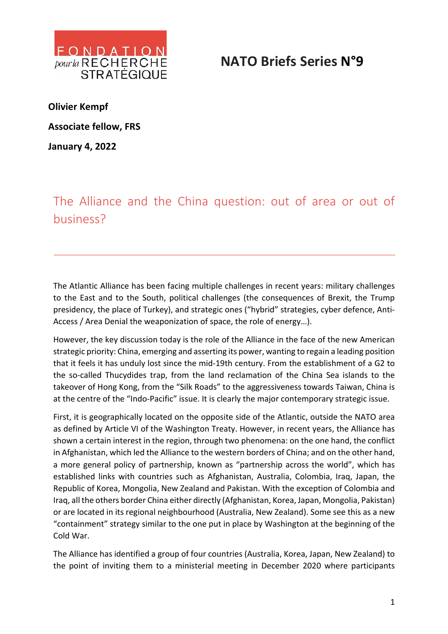

## **NATO Briefs Series N°9**

**Olivier Kempf Associate fellow, FRS January 4, 2022**

The Alliance and the China question: out of area or out of business?

The Atlantic Alliance has been facing multiple challenges in recent years: military challenges to the East and to the South, political challenges (the consequences of Brexit, the Trump presidency, the place of Turkey), and strategic ones ("hybrid" strategies, cyber defence, Anti-Access / Area Denial the weaponization of space, the role of energy…).

However, the key discussion today is the role of the Alliance in the face of the new American strategic priority: China, emerging and asserting its power, wanting to regain a leading position that it feels it has unduly lost since the mid-19th century. From the establishment of a G2 to the so-called Thucydides trap, from the land reclamation of the China Sea islands to the takeover of Hong Kong, from the "Silk Roads" to the aggressiveness towards Taiwan, China is at the centre of the "Indo-Pacific" issue. It is clearly the major contemporary strategic issue.

First, it is geographically located on the opposite side of the Atlantic, outside the NATO area as defined by Article VI of the Washington Treaty. However, in recent years, the Alliance has shown a certain interest in the region, through two phenomena: on the one hand, the conflict in Afghanistan, which led the Alliance to the western borders of China; and on the other hand, a more general policy of partnership, known as "partnership across the world", which has established links with countries such as Afghanistan, Australia, Colombia, Iraq, Japan, the Republic of Korea, Mongolia, New Zealand and Pakistan. With the exception of Colombia and Iraq, all the others border China either directly (Afghanistan, Korea, Japan, Mongolia, Pakistan) or are located in its regional neighbourhood (Australia, New Zealand). Some see this as a new "containment" strategy similar to the one put in place by Washington at the beginning of the Cold War.

The Alliance has identified a group of four countries (Australia, Korea, Japan, New Zealand) to the point of inviting them to a ministerial meeting in December 2020 where participants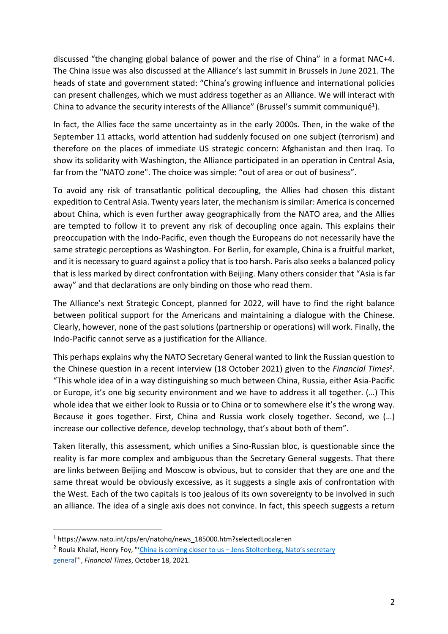discussed "the changing global balance of power and the rise of China" in a format NAC+4. The China issue was also discussed at the Alliance's last summit in Brussels in June 2021. The heads of state and government stated: "China's growing influence and international policies can present challenges, which we must address together as an Alliance. We will interact with China to advance the security interests of the Alliance" (Brussel's summit communiqué<sup>1</sup>).

In fact, the Allies face the same uncertainty as in the early 2000s. Then, in the wake of the September 11 attacks, world attention had suddenly focused on one subject (terrorism) and therefore on the places of immediate US strategic concern: Afghanistan and then Iraq. To show its solidarity with Washington, the Alliance participated in an operation in Central Asia, far from the "NATO zone". The choice was simple: "out of area or out of business".

To avoid any risk of transatlantic political decoupling, the Allies had chosen this distant expedition to Central Asia. Twenty years later, the mechanism is similar: America is concerned about China, which is even further away geographically from the NATO area, and the Allies are tempted to follow it to prevent any risk of decoupling once again. This explains their preoccupation with the Indo-Pacific, even though the Europeans do not necessarily have the same strategic perceptions as Washington. For Berlin, for example, China is a fruitful market, and it is necessary to guard against a policy that is too harsh. Paris also seeks a balanced policy that is less marked by direct confrontation with Beijing. Many others consider that "Asia is far away" and that declarations are only binding on those who read them.

The Alliance's next Strategic Concept, planned for 2022, will have to find the right balance between political support for the Americans and maintaining a dialogue with the Chinese. Clearly, however, none of the past solutions (partnership or operations) will work. Finally, the Indo-Pacific cannot serve as a justification for the Alliance.

This perhaps explains why the NATO Secretary General wanted to link the Russian question to the Chinese question in a recent interview (18 October 2021) given to the *Financial Times2*. "This whole idea of in a way distinguishing so much between China, Russia, either Asia-Pacific or Europe, it's one big security environment and we have to address it all together. (…) This whole idea that we either look to Russia or to China or to somewhere else it's the wrong way. Because it goes together. First, China and Russia work closely together. Second, we (…) increase our collective defence, develop technology, that's about both of them".

Taken literally, this assessment, which unifies a Sino-Russian bloc, is questionable since the reality is far more complex and ambiguous than the Secretary General suggests. That there are links between Beijing and Moscow is obvious, but to consider that they are one and the same threat would be obviously excessive, as it suggests a single axis of confrontation with the West. Each of the two capitals is too jealous of its own sovereignty to be involved in such an alliance. The idea of a single axis does not convince. In fact, this speech suggests a return

<sup>&</sup>lt;sup>1</sup> https://www.nato.int/cps/en/natohq/news\_185000.htm?selectedLocale=en

<sup>&</sup>lt;sup>2</sup> Roula Khalaf, Henry Foy, "'China is coming closer to us - Jens Stoltenberg, Nato's secretary general'", *Financial Times*, October 18, 2021.